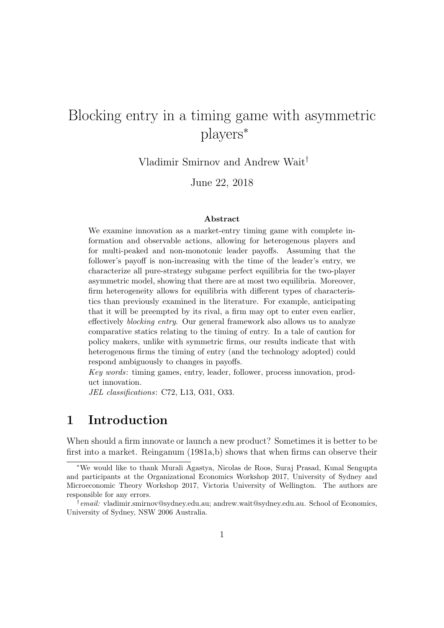# Blocking entry in a timing game with asymmetric players<sup>∗</sup>

Vladimir Smirnov and Andrew Wait†

June 22, 2018

#### Abstract

We examine innovation as a market-entry timing game with complete information and observable actions, allowing for heterogenous players and for multi-peaked and non-monotonic leader payoffs. Assuming that the follower's payoff is non-increasing with the time of the leader's entry, we characterize all pure-strategy subgame perfect equilibria for the two-player asymmetric model, showing that there are at most two equilibria. Moreover, firm heterogeneity allows for equilibria with different types of characteristics than previously examined in the literature. For example, anticipating that it will be preempted by its rival, a firm may opt to enter even earlier, effectively blocking entry. Our general framework also allows us to analyze comparative statics relating to the timing of entry. In a tale of caution for policy makers, unlike with symmetric firms, our results indicate that with heterogenous firms the timing of entry (and the technology adopted) could respond ambiguously to changes in payoffs.

Key words: timing games, entry, leader, follower, process innovation, product innovation.

JEL classifications: C72, L13, O31, O33.

# 1 Introduction

When should a firm innovate or launch a new product? Sometimes it is better to be first into a market. Reinganum (1981a,b) shows that when firms can observe their

<sup>∗</sup>We would like to thank Murali Agastya, Nicolas de Roos, Suraj Prasad, Kunal Sengupta and participants at the Organizational Economics Workshop 2017, University of Sydney and Microeconomic Theory Workshop 2017, Victoria University of Wellington. The authors are responsible for any errors.

<sup>&</sup>lt;sup>†</sup> email: vladimir.smirnov@sydney.edu.au; andrew.wait@sydney.edu.au. School of Economics, University of Sydney, NSW 2006 Australia.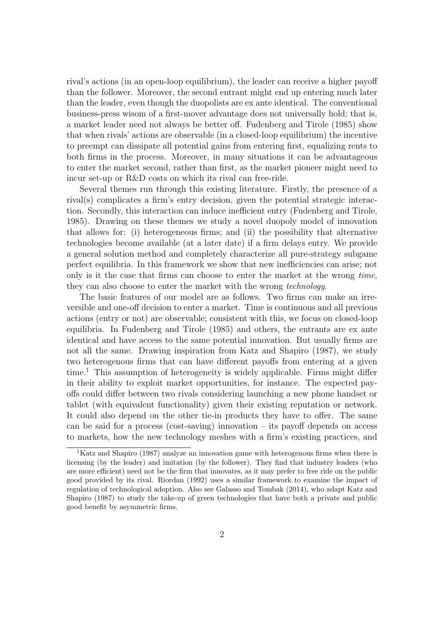rival's actions (in an open-loop equilibrium), the leader can receive a higher payoff than the follower. Moreover, the second entrant might end up entering much later than the leader, even though the duopolists are ex ante identical. The conventional business-press wisom of a first-mover advantage does not universally hold; that is, a market leader need not always be better off. Fudenberg and Tirole (1985) show that when rivals' actions are observable (in a closed-loop equilibrium) the incentive to preempt can dissipate all potential gains from entering first, equalizing rents to both firms in the process. Moreover, in many situations it can be advantageous to enter the market second, rather than first, as the market pioneer might need to incur set-up or R&D costs on which its rival can free-ride.

Several themes run through this existing literature. Firstly, the presence of a rival(s) complicates a firm's entry decision, given the potential strategic interaction. Secondly, this interaction can induce inefficient entry (Fudenberg and Tirole, 1985). Drawing on these themes we study a novel duopoly model of innovation that allows for: (i) heterogeneous firms; and (ii) the possibility that alternative technologies become available (at a later date) if a firm delays entry. We provide a general solution method and completely characterize all pure-strategy subgame perfect equilibria. In this framework we show that new inefficiencies can arise; not only is it the case that firms can choose to enter the market at the wrong time, they can also choose to enter the market with the wrong technology.

The basic features of our model are as follows. Two firms can make an irreversible and one-off decision to enter a market. Time is continuous and all previous actions (entry or not) are observable; consistent with this, we focus on closed-loop equilibria. In Fudenberg and Tirole (1985) and others, the entrants are ex ante identical and have access to the same potential innovation. But usually firms are not all the same. Drawing inspiration from Katz and Shapiro (1987), we study two heterogenous firms that can have different payoffs from entering at a given time.<sup>1</sup> This assumption of heterogeneity is widely applicable. Firms might differ in their ability to exploit market opportunities, for instance. The expected payoffs could differ between two rivals considering launching a new phone handset or tablet (with equivalent functionality) given their existing reputation or network. It could also depend on the other tie-in products they have to offer. The same can be said for a process (cost-saving) innovation – its payoff depends on access to markets, how the new technology meshes with a firm's existing practices, and

<sup>&</sup>lt;sup>1</sup>Katz and Shapiro (1987) analyze an innovation game with heterogenous firms when there is licensing (by the leader) and imitation (by the follower). They find that industry leaders (who are more efficient) need not be the firm that innovates, as it may prefer to free ride on the public good provided by its rival. Riordan (1992) uses a similar framework to examine the impact of regulation of technological adoption. Also see Galasso and Tombak (2014), who adapt Katz and Shapiro (1987) to study the take-up of green technologies that have both a private and public good benefit by asymmetric firms.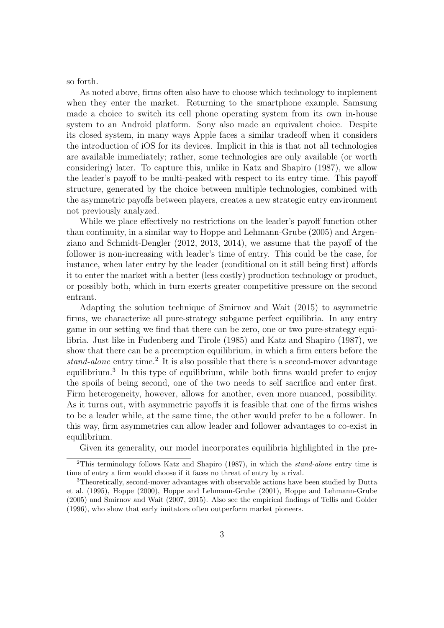so forth.

As noted above, firms often also have to choose which technology to implement when they enter the market. Returning to the smartphone example, Samsung made a choice to switch its cell phone operating system from its own in-house system to an Android platform. Sony also made an equivalent choice. Despite its closed system, in many ways Apple faces a similar tradeoff when it considers the introduction of iOS for its devices. Implicit in this is that not all technologies are available immediately; rather, some technologies are only available (or worth considering) later. To capture this, unlike in Katz and Shapiro (1987), we allow the leader's payoff to be multi-peaked with respect to its entry time. This payoff structure, generated by the choice between multiple technologies, combined with the asymmetric payoffs between players, creates a new strategic entry environment not previously analyzed.

While we place effectively no restrictions on the leader's payoff function other than continuity, in a similar way to Hoppe and Lehmann-Grube (2005) and Argenziano and Schmidt-Dengler (2012, 2013, 2014), we assume that the payoff of the follower is non-increasing with leader's time of entry. This could be the case, for instance, when later entry by the leader (conditional on it still being first) affords it to enter the market with a better (less costly) production technology or product, or possibly both, which in turn exerts greater competitive pressure on the second entrant.

Adapting the solution technique of Smirnov and Wait (2015) to asymmetric firms, we characterize all pure-strategy subgame perfect equilibria. In any entry game in our setting we find that there can be zero, one or two pure-strategy equilibria. Just like in Fudenberg and Tirole (1985) and Katz and Shapiro (1987), we show that there can be a preemption equilibrium, in which a firm enters before the stand-alone entry time.<sup>2</sup> It is also possible that there is a second-mover advantage equilibrium.<sup>3</sup> In this type of equilibrium, while both firms would prefer to enjoy the spoils of being second, one of the two needs to self sacrifice and enter first. Firm heterogeneity, however, allows for another, even more nuanced, possibility. As it turns out, with asymmetric payoffs it is feasible that one of the firms wishes to be a leader while, at the same time, the other would prefer to be a follower. In this way, firm asymmetries can allow leader and follower advantages to co-exist in equilibrium.

Given its generality, our model incorporates equilibria highlighted in the pre-

<sup>&</sup>lt;sup>2</sup>This terminology follows Katz and Shapiro (1987), in which the *stand-alone* entry time is time of entry a firm would choose if it faces no threat of entry by a rival.

<sup>3</sup>Theoretically, second-mover advantages with observable actions have been studied by Dutta et al. (1995), Hoppe (2000), Hoppe and Lehmann-Grube (2001), Hoppe and Lehmann-Grube (2005) and Smirnov and Wait (2007, 2015). Also see the empirical findings of Tellis and Golder (1996), who show that early imitators often outperform market pioneers.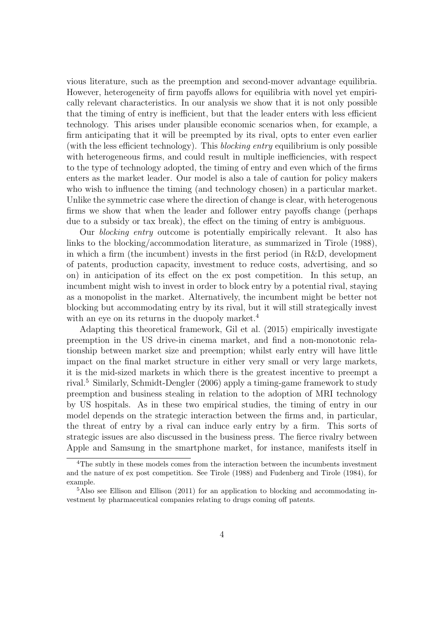vious literature, such as the preemption and second-mover advantage equilibria. However, heterogeneity of firm payoffs allows for equilibria with novel yet empirically relevant characteristics. In our analysis we show that it is not only possible that the timing of entry is inefficient, but that the leader enters with less efficient technology. This arises under plausible economic scenarios when, for example, a firm anticipating that it will be preempted by its rival, opts to enter even earlier (with the less efficient technology). This blocking entry equilibrium is only possible with heterogeneous firms, and could result in multiple inefficiencies, with respect to the type of technology adopted, the timing of entry and even which of the firms enters as the market leader. Our model is also a tale of caution for policy makers who wish to influence the timing (and technology chosen) in a particular market. Unlike the symmetric case where the direction of change is clear, with heterogenous firms we show that when the leader and follower entry payoffs change (perhaps due to a subsidy or tax break), the effect on the timing of entry is ambiguous.

Our blocking entry outcome is potentially empirically relevant. It also has links to the blocking/accommodation literature, as summarized in Tirole (1988), in which a firm (the incumbent) invests in the first period (in R&D, development of patents, production capacity, investment to reduce costs, advertising, and so on) in anticipation of its effect on the ex post competition. In this setup, an incumbent might wish to invest in order to block entry by a potential rival, staying as a monopolist in the market. Alternatively, the incumbent might be better not blocking but accommodating entry by its rival, but it will still strategically invest with an eye on its returns in the duopoly market.<sup>4</sup>

Adapting this theoretical framework, Gil et al. (2015) empirically investigate preemption in the US drive-in cinema market, and find a non-monotonic relationship between market size and preemption; whilst early entry will have little impact on the final market structure in either very small or very large markets, it is the mid-sized markets in which there is the greatest incentive to preempt a rival.<sup>5</sup> Similarly, Schmidt-Dengler (2006) apply a timing-game framework to study preemption and business stealing in relation to the adoption of MRI technology by US hospitals. As in these two empirical studies, the timing of entry in our model depends on the strategic interaction between the firms and, in particular, the threat of entry by a rival can induce early entry by a firm. This sorts of strategic issues are also discussed in the business press. The fierce rivalry between Apple and Samsung in the smartphone market, for instance, manifests itself in

<sup>4</sup>The subtly in these models comes from the interaction between the incumbents investment and the nature of ex post competition. See Tirole (1988) and Fudenberg and Tirole (1984), for example.

<sup>&</sup>lt;sup>5</sup>Also see Ellison and Ellison (2011) for an application to blocking and accommodating investment by pharmaceutical companies relating to drugs coming off patents.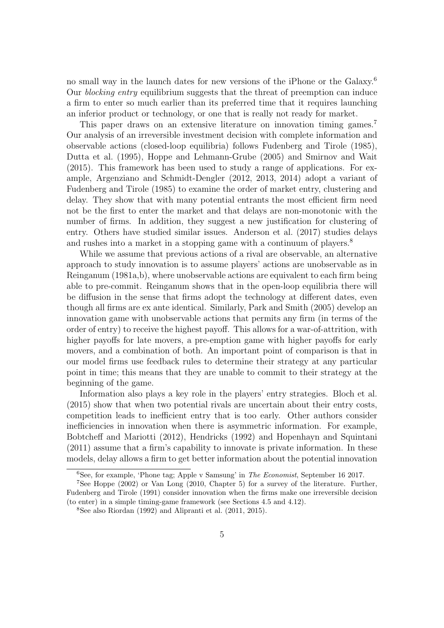no small way in the launch dates for new versions of the iPhone or the Galaxy.<sup>6</sup> Our blocking entry equilibrium suggests that the threat of preemption can induce a firm to enter so much earlier than its preferred time that it requires launching an inferior product or technology, or one that is really not ready for market.

This paper draws on an extensive literature on innovation timing games.<sup>7</sup> Our analysis of an irreversible investment decision with complete information and observable actions (closed-loop equilibria) follows Fudenberg and Tirole (1985), Dutta et al. (1995), Hoppe and Lehmann-Grube (2005) and Smirnov and Wait (2015). This framework has been used to study a range of applications. For example, Argenziano and Schmidt-Dengler (2012, 2013, 2014) adopt a variant of Fudenberg and Tirole (1985) to examine the order of market entry, clustering and delay. They show that with many potential entrants the most efficient firm need not be the first to enter the market and that delays are non-monotonic with the number of firms. In addition, they suggest a new justification for clustering of entry. Others have studied similar issues. Anderson et al. (2017) studies delays and rushes into a market in a stopping game with a continuum of players.<sup>8</sup>

While we assume that previous actions of a rival are observable, an alternative approach to study innovation is to assume players' actions are unobservable as in Reinganum (1981a,b), where unobservable actions are equivalent to each firm being able to pre-commit. Reinganum shows that in the open-loop equilibria there will be diffusion in the sense that firms adopt the technology at different dates, even though all firms are ex ante identical. Similarly, Park and Smith (2005) develop an innovation game with unobservable actions that permits any firm (in terms of the order of entry) to receive the highest payoff. This allows for a war-of-attrition, with higher payoffs for late movers, a pre-emption game with higher payoffs for early movers, and a combination of both. An important point of comparison is that in our model firms use feedback rules to determine their strategy at any particular point in time; this means that they are unable to commit to their strategy at the beginning of the game.

Information also plays a key role in the players' entry strategies. Bloch et al. (2015) show that when two potential rivals are uncertain about their entry costs, competition leads to inefficient entry that is too early. Other authors consider inefficiencies in innovation when there is asymmetric information. For example, Bobtcheff and Mariotti (2012), Hendricks (1992) and Hopenhayn and Squintani (2011) assume that a firm's capability to innovate is private information. In these models, delay allows a firm to get better information about the potential innovation

 $6$ See, for example, 'Phone tag; Apple v Samsung' in *The Economist*, September 16 2017.

<sup>7</sup>See Hoppe (2002) or Van Long (2010, Chapter 5) for a survey of the literature. Further, Fudenberg and Tirole (1991) consider innovation when the firms make one irreversible decision (to enter) in a simple timing-game framework (see Sections 4.5 and 4.12).

<sup>&</sup>lt;sup>8</sup>See also Riordan (1992) and Alipranti et al.  $(2011, 2015)$ .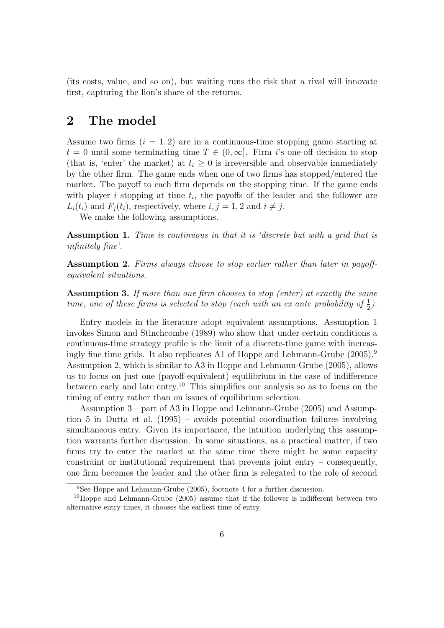(its costs, value, and so on), but waiting runs the risk that a rival will innovate first, capturing the lion's share of the returns.

### 2 The model

Assume two firms  $(i = 1, 2)$  are in a continuous-time stopping game starting at  $t = 0$  until some terminating time  $T \in (0, \infty]$ . Firm is one-off decision to stop (that is, 'enter' the market) at  $t_i \geq 0$  is irreversible and observable immediately by the other firm. The game ends when one of two firms has stopped/entered the market. The payoff to each firm depends on the stopping time. If the game ends with player  $i$  stopping at time  $t_i$ , the payoffs of the leader and the follower are  $L_i(t_i)$  and  $F_i(t_i)$ , respectively, where  $i, j = 1, 2$  and  $i \neq j$ .

We make the following assumptions.

Assumption 1. Time is continuous in that it is 'discrete but with a grid that is infinitely fine'.

Assumption 2. Firms always choose to stop earlier rather than later in payoffequivalent situations.

Assumption 3. If more than one firm chooses to stop (enter) at exactly the same time, one of these firms is selected to stop (each with an ex ante probability of  $\frac{1}{2}$ ).

Entry models in the literature adopt equivalent assumptions. Assumption 1 invokes Simon and Stinchcombe (1989) who show that under certain conditions a continuous-time strategy profile is the limit of a discrete-time game with increasingly fine time grids. It also replicates A1 of Hoppe and Lehmann-Grube (2005).<sup>9</sup> Assumption 2, which is similar to A3 in Hoppe and Lehmann-Grube (2005), allows us to focus on just one (payoff-equivalent) equilibrium in the case of indifference between early and late entry.<sup>10</sup> This simplifies our analysis so as to focus on the timing of entry rather than on issues of equilibrium selection.

Assumption 3 – part of A3 in Hoppe and Lehmann-Grube (2005) and Assumption 5 in Dutta et al. (1995) – avoids potential coordination failures involving simultaneous entry. Given its importance, the intuition underlying this assumption warrants further discussion. In some situations, as a practical matter, if two firms try to enter the market at the same time there might be some capacity constraint or institutional requirement that prevents joint entry – consequently, one firm becomes the leader and the other firm is relegated to the role of second

 $9$ See Hoppe and Lehmann-Grube (2005), footnote 4 for a further discussion.

 $10$ Hoppe and Lehmann-Grube (2005) assume that if the follower is indifferent between two alternative entry times, it chooses the earliest time of entry.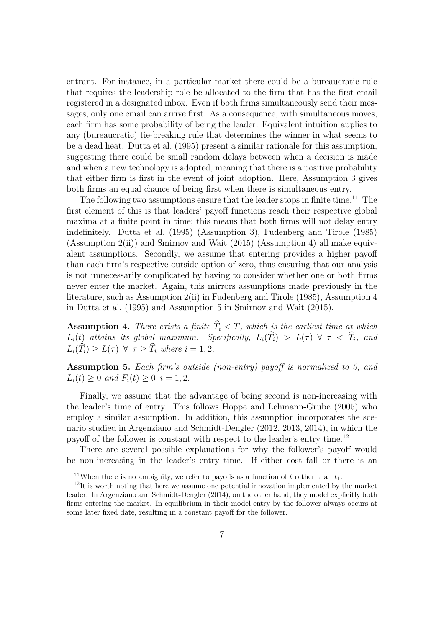entrant. For instance, in a particular market there could be a bureaucratic rule that requires the leadership role be allocated to the firm that has the first email registered in a designated inbox. Even if both firms simultaneously send their messages, only one email can arrive first. As a consequence, with simultaneous moves, each firm has some probability of being the leader. Equivalent intuition applies to any (bureaucratic) tie-breaking rule that determines the winner in what seems to be a dead heat. Dutta et al. (1995) present a similar rationale for this assumption, suggesting there could be small random delays between when a decision is made and when a new technology is adopted, meaning that there is a positive probability that either firm is first in the event of joint adoption. Here, Assumption 3 gives both firms an equal chance of being first when there is simultaneous entry.

The following two assumptions ensure that the leader stops in finite time.<sup>11</sup> The first element of this is that leaders' payoff functions reach their respective global maxima at a finite point in time; this means that both firms will not delay entry indefinitely. Dutta et al. (1995) (Assumption 3), Fudenberg and Tirole (1985) (Assumption 2(ii)) and Smirnov and Wait (2015) (Assumption 4) all make equivalent assumptions. Secondly, we assume that entering provides a higher payoff than each firm's respective outside option of zero, thus ensuring that our analysis is not unnecessarily complicated by having to consider whether one or both firms never enter the market. Again, this mirrors assumptions made previously in the literature, such as Assumption 2(ii) in Fudenberg and Tirole (1985), Assumption 4 in Dutta et al. (1995) and Assumption 5 in Smirnov and Wait (2015).

**Assumption 4.** There exists a finite  $T_i < T$ , which is the earliest time at which  $L_i(t)$  attains its global maximum. Specifically,  $L_i(T_i) > L(\tau) \forall \tau < T_i$ , and  $L_i(\hat{T}_i) > L(\tau) \ \forall \ \tau > \hat{T}_i$  where  $i = 1, 2$ .

Assumption 5. Each firm's outside (non-entry) payoff is normalized to 0, and  $L_i(t) \geq 0$  and  $F_i(t) \geq 0$   $i = 1, 2$ .

Finally, we assume that the advantage of being second is non-increasing with the leader's time of entry. This follows Hoppe and Lehmann-Grube (2005) who employ a similar assumption. In addition, this assumption incorporates the scenario studied in Argenziano and Schmidt-Dengler (2012, 2013, 2014), in which the payoff of the follower is constant with respect to the leader's entry time.<sup>12</sup>

There are several possible explanations for why the follower's payoff would be non-increasing in the leader's entry time. If either cost fall or there is an

<sup>&</sup>lt;sup>11</sup>When there is no ambiguity, we refer to payoffs as a function of t rather than  $t_1$ .

 $12$ It is worth noting that here we assume one potential innovation implemented by the market leader. In Argenziano and Schmidt-Dengler (2014), on the other hand, they model explicitly both firms entering the market. In equilibrium in their model entry by the follower always occurs at some later fixed date, resulting in a constant payoff for the follower.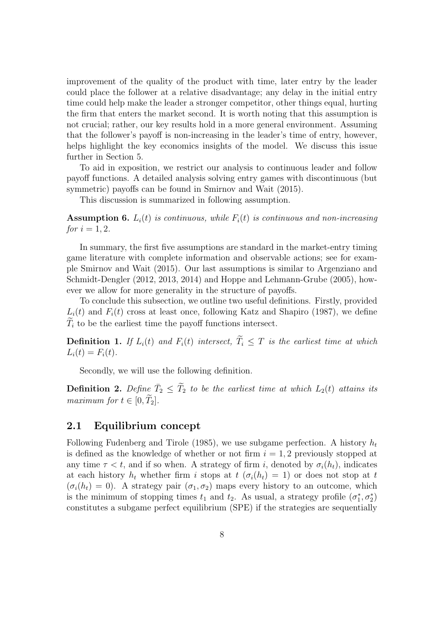improvement of the quality of the product with time, later entry by the leader could place the follower at a relative disadvantage; any delay in the initial entry time could help make the leader a stronger competitor, other things equal, hurting the firm that enters the market second. It is worth noting that this assumption is not crucial; rather, our key results hold in a more general environment. Assuming that the follower's payoff is non-increasing in the leader's time of entry, however, helps highlight the key economics insights of the model. We discuss this issue further in Section 5.

To aid in exposition, we restrict our analysis to continuous leader and follow payoff functions. A detailed analysis solving entry games with discontinuous (but symmetric) payoffs can be found in Smirnov and Wait (2015).

This discussion is summarized in following assumption.

**Assumption 6.**  $L_i(t)$  is continuous, while  $F_i(t)$  is continuous and non-increasing *for*  $i = 1, 2$ .

In summary, the first five assumptions are standard in the market-entry timing game literature with complete information and observable actions; see for example Smirnov and Wait (2015). Our last assumptions is similar to Argenziano and Schmidt-Dengler (2012, 2013, 2014) and Hoppe and Lehmann-Grube (2005), however we allow for more generality in the structure of payoffs.

To conclude this subsection, we outline two useful definitions. Firstly, provided  $L_i(t)$  and  $F_i(t)$  cross at least once, following Katz and Shapiro (1987), we define  $T_i$  to be the earliest time the payoff functions intersect.

**Definition 1.** If  $L_i(t)$  and  $F_i(t)$  intersect,  $\widetilde{T}_i \leq T$  is the earliest time at which  $L_i(t) = F_i(t)$ .

Secondly, we will use the following definition.

**Definition 2.** Define  $\overline{T}_2 \leq \widetilde{T}_2$  to be the earliest time at which  $L_2(t)$  attains its maximum for  $t \in [0, \tilde{T}_2]$ .

### 2.1 Equilibrium concept

Following Fudenberg and Tirole (1985), we use subgame perfection. A history  $h_t$ is defined as the knowledge of whether or not firm  $i = 1, 2$  previously stopped at any time  $\tau < t$ , and if so when. A strategy of firm i, denoted by  $\sigma_i(h_t)$ , indicates at each history  $h_t$  whether firm i stops at  $t$   $(\sigma_i(h_t) = 1)$  or does not stop at t  $(\sigma_i(h_t) = 0)$ . A strategy pair  $(\sigma_1, \sigma_2)$  maps every history to an outcome, which is the minimum of stopping times  $t_1$  and  $t_2$ . As usual, a strategy profile  $(\sigma_1^*, \sigma_2^*)$ constitutes a subgame perfect equilibrium (SPE) if the strategies are sequentially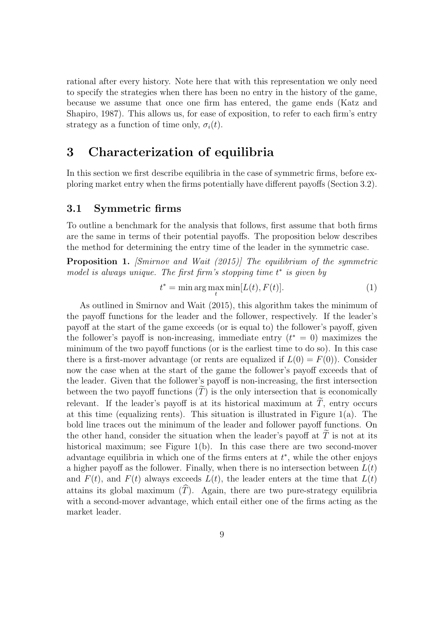rational after every history. Note here that with this representation we only need to specify the strategies when there has been no entry in the history of the game, because we assume that once one firm has entered, the game ends (Katz and Shapiro, 1987). This allows us, for ease of exposition, to refer to each firm's entry strategy as a function of time only,  $\sigma_i(t)$ .

## 3 Characterization of equilibria

In this section we first describe equilibria in the case of symmetric firms, before exploring market entry when the firms potentially have different payoffs (Section 3.2).

### 3.1 Symmetric firms

To outline a benchmark for the analysis that follows, first assume that both firms are the same in terms of their potential payoffs. The proposition below describes the method for determining the entry time of the leader in the symmetric case.

**Proposition 1.** [Smirnov and Wait (2015)] The equilibrium of the symmetric model is always unique. The first firm's stopping time  $t^*$  is given by

$$
t^* = \min \arg \max_{t} \min[L(t), F(t)].
$$
\n(1)

As outlined in Smirnov and Wait (2015), this algorithm takes the minimum of the payoff functions for the leader and the follower, respectively. If the leader's payoff at the start of the game exceeds (or is equal to) the follower's payoff, given the follower's payoff is non-increasing, immediate entry  $(t^* = 0)$  maximizes the minimum of the two payoff functions (or is the earliest time to do so). In this case there is a first-mover advantage (or rents are equalized if  $L(0) = F(0)$ ). Consider now the case when at the start of the game the follower's payoff exceeds that of the leader. Given that the follower's payoff is non-increasing, the first intersection between the two payoff functions  $(T)$  is the only intersection that is economically relevant. If the leader's payoff is at its historical maximum at  $T$ , entry occurs at this time (equalizing rents). This situation is illustrated in Figure 1(a). The bold line traces out the minimum of the leader and follower payoff functions. On the other hand, consider the situation when the leader's payoff at  $T$  is not at its historical maximum; see Figure 1(b). In this case there are two second-mover advantage equilibria in which one of the firms enters at  $t^*$ , while the other enjoys a higher payoff as the follower. Finally, when there is no intersection between  $L(t)$ and  $F(t)$ , and  $F(t)$  always exceeds  $L(t)$ , the leader enters at the time that  $L(t)$ attains its global maximum  $(\widehat{T})$ . Again, there are two pure-strategy equilibria with a second-mover advantage, which entail either one of the firms acting as the market leader.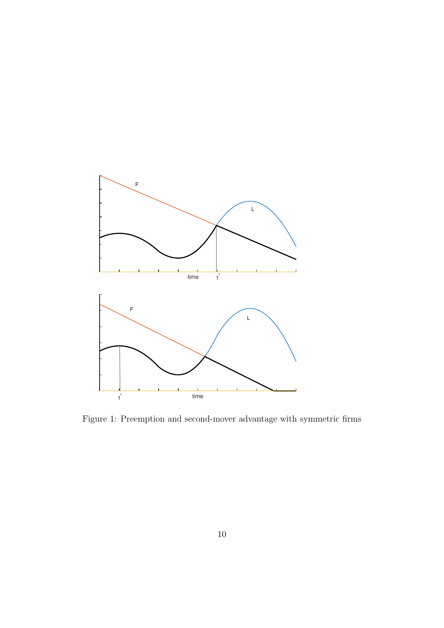

Figure 1: Preemption and second-mover advantage with symmetric firms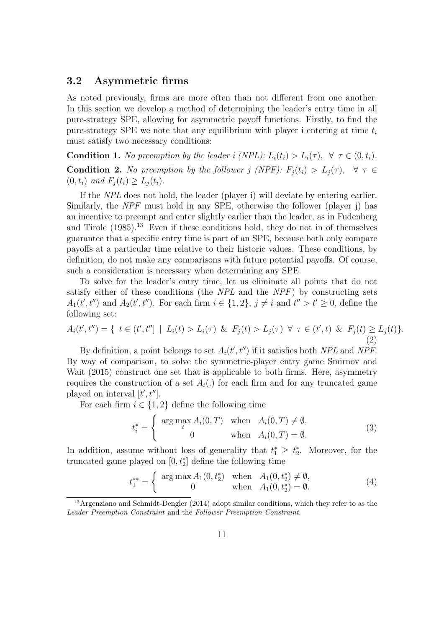### 3.2 Asymmetric firms

As noted previously, firms are more often than not different from one another. In this section we develop a method of determining the leader's entry time in all pure-strategy SPE, allowing for asymmetric payoff functions. Firstly, to find the pure-strategy SPE we note that any equilibrium with player i entering at time  $t_i$ must satisfy two necessary conditions:

**Condition 1.** No preemption by the leader i (NPL):  $L_i(t_i) > L_i(\tau)$ ,  $\forall \tau \in (0, t_i)$ . **Condition 2.** No preemption by the follower j (NPF):  $F_i(t_i) > L_i(\tau)$ ,  $\forall \tau \in$  $(0, t_i)$  and  $F_i(t_i) \geq L_i(t_i)$ .

If the NPL does not hold, the leader (player i) will deviate by entering earlier. Similarly, the NPF must hold in any SPE, otherwise the follower (player j) has an incentive to preempt and enter slightly earlier than the leader, as in Fudenberg and Tirole  $(1985)$ .<sup>13</sup> Even if these conditions hold, they do not in of themselves guarantee that a specific entry time is part of an SPE, because both only compare payoffs at a particular time relative to their historic values. These conditions, by definition, do not make any comparisons with future potential payoffs. Of course, such a consideration is necessary when determining any SPE.

To solve for the leader's entry time, let us eliminate all points that do not satisfy either of these conditions (the NPL and the NPF) by constructing sets  $A_1(t', t'')$  and  $A_2(t', t'')$ . For each firm  $i \in \{1, 2\}$ ,  $j \neq i$  and  $t'' > t' \geq 0$ , define the following set:

$$
A_i(t',t'') = \{ t \in (t',t''] \mid L_i(t) > L_i(\tau) \& F_j(t) > L_j(\tau) \forall \tau \in (t',t) \& F_j(t) \ge L_j(t) \}.
$$
\n
$$
(2)
$$

By definition, a point belongs to set  $A_i(t', t'')$  if it satisfies both NPL and NPF. By way of comparison, to solve the symmetric-player entry game Smirnov and Wait (2015) construct one set that is applicable to both firms. Here, asymmetry requires the construction of a set  $A_i(.)$  for each firm and for any truncated game played on interval  $[t', t'']$ .

For each firm  $i \in \{1,2\}$  define the following time

$$
t_i^* = \begin{cases} \arg \max_{t} A_i(0, T) & \text{when } A_i(0, T) \neq \emptyset, \\ 0 & \text{when } A_i(0, T) = \emptyset. \end{cases}
$$
 (3)

In addition, assume without loss of generality that  $t_1^* \geq t_2^*$ . Moreover, for the truncated game played on  $[0, t_2^*]$  define the following time

$$
t_1^{**} = \begin{cases} \arg \max A_1(0, t_2^*) & \text{when } A_1(0, t_2^*) \neq \emptyset, \\ 0 & \text{when } A_1(0, t_2^*) = \emptyset. \end{cases}
$$
 (4)

<sup>&</sup>lt;sup>13</sup>Argenziano and Schmidt-Dengler (2014) adopt similar conditions, which they refer to as the Leader Preemption Constraint and the Follower Preemption Constraint.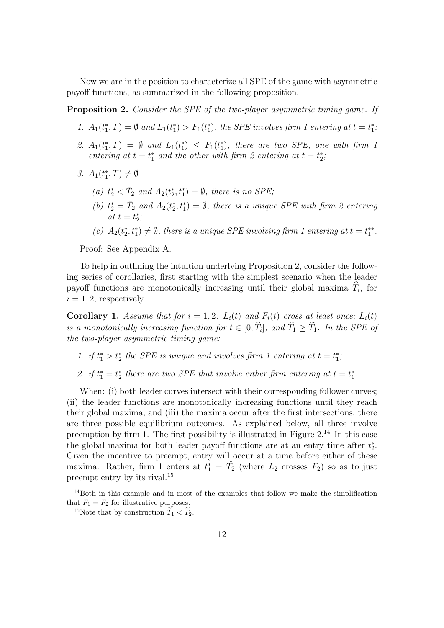Now we are in the position to characterize all SPE of the game with asymmetric payoff functions, as summarized in the following proposition.

Proposition 2. Consider the SPE of the two-player asymmetric timing game. If

- 1.  $A_1(t_1^*,T) = \emptyset$  and  $L_1(t_1^*) > F_1(t_1^*)$ , the SPE involves firm 1 entering at  $t = t_1^*$ ;
- 2.  $A_1(t_1^*,T) = \emptyset$  and  $L_1(t_1^*) \leq F_1(t_1^*)$ , there are two SPE, one with firm 1 entering at  $t = t_1^*$  and the other with firm 2 entering at  $t = t_2^*$ ;
- 3.  $A_1(t_1^*,T) \neq \emptyset$ 
	- (a)  $t_2^* < \overline{T}_2$  and  $A_2(t_2^*, t_1^*) = \emptyset$ , there is no SPE;
	- (b)  $t_2^* = \bar{T}_2$  and  $A_2(t_2^*, t_1^*) = \emptyset$ , there is a unique SPE with firm 2 entering at  $t=t_2^*$ ;
	- (c)  $A_2(t_2^*, t_1^*) \neq \emptyset$ , there is a unique SPE involving firm 1 entering at  $t = t_1^{**}$ .

Proof: See Appendix A.

To help in outlining the intuition underlying Proposition 2, consider the following series of corollaries, first starting with the simplest scenario when the leader payoff functions are monotonically increasing until their global maxima  $T_i$ , for  $i = 1, 2$ , respectively.

**Corollary 1.** Assume that for  $i = 1, 2$ :  $L_i(t)$  and  $F_i(t)$  cross at least once;  $L_i(t)$ is a monotonically increasing function for  $t \in [0, T_i]$ ; and  $T_1 \geq T_1$ . In the SPE of the two-player asymmetric timing game:

- 1. if  $t_1^* > t_2^*$  the SPE is unique and involves firm 1 entering at  $t = t_1^*$ ,
- 2. if  $t_1^* = t_2^*$  there are two SPE that involve either firm entering at  $t = t_1^*$ .

When: (i) both leader curves intersect with their corresponding follower curves; (ii) the leader functions are monotonically increasing functions until they reach their global maxima; and (iii) the maxima occur after the first intersections, there are three possible equilibrium outcomes. As explained below, all three involve preemption by firm 1. The first possibility is illustrated in Figure  $2^{14}$  In this case the global maxima for both leader payoff functions are at an entry time after  $t_2^*$ . Given the incentive to preempt, entry will occur at a time before either of these maxima. Rather, firm 1 enters at  $t_1^* = T_2$  (where  $L_2$  crosses  $F_2$ ) so as to just preempt entry by its rival.<sup>15</sup>

<sup>14</sup>Both in this example and in most of the examples that follow we make the simplification that  $F_1 = F_2$  for illustrative purposes.

<sup>&</sup>lt;sup>15</sup>Note that by construction  $\widetilde{T}_1 < \widetilde{T}_2$ .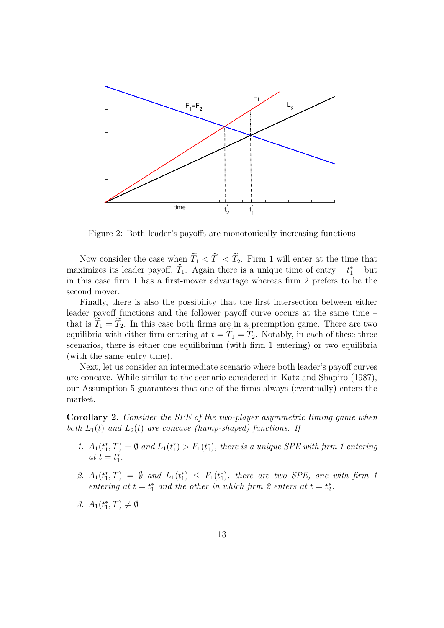

Figure 2: Both leader's payoffs are monotonically increasing functions

Now consider the case when  $\widetilde{T}_1 < \widetilde{T}_1 < \widetilde{T}_2$ . Firm 1 will enter at the time that maximizes its leader payoff,  $\hat{T}_1$ . Again there is a unique time of entry –  $t_1^*$  – but in this case firm 1 has a first-mover advantage whereas firm 2 prefers to be the second mover.

Finally, there is also the possibility that the first intersection between either leader payoff functions and the follower payoff curve occurs at the same time – that is  $\widetilde{T}_1 = \widetilde{T}_2$ . In this case both firms are in a preemption game. There are two equilibria with either firm entering at  $t = \widetilde{T}_1 = \widetilde{T}_2$ . Notably, in each of these three scenarios, there is either one equilibrium (with firm 1 entering) or two equilibria (with the same entry time).

Next, let us consider an intermediate scenario where both leader's payoff curves are concave. While similar to the scenario considered in Katz and Shapiro (1987), our Assumption 5 guarantees that one of the firms always (eventually) enters the market.

Corollary 2. Consider the SPE of the two-player asymmetric timing game when both  $L_1(t)$  and  $L_2(t)$  are concave (hump-shaped) functions. If

- 1.  $A_1(t_1^*,T) = \emptyset$  and  $L_1(t_1^*) > F_1(t_1^*)$ , there is a unique SPE with firm 1 entering at  $t = t_1^*$ .
- 2.  $A_1(t_1^*,T) = \emptyset$  and  $L_1(t_1^*) \leq F_1(t_1^*)$ , there are two SPE, one with firm 1 entering at  $t = t_1^*$  and the other in which firm 2 enters at  $t = t_2^*$ .
- 3.  $A_1(t_1^*,T) \neq \emptyset$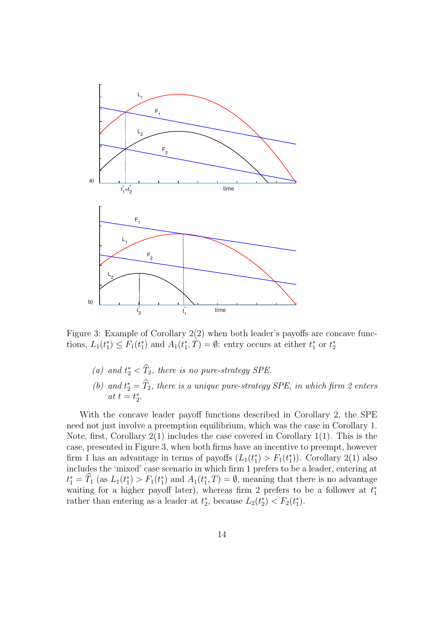

Figure 3: Example of Corollary 2(2) when both leader's payoffs are concave functions,  $L_1(t_1^*) \leq F_1(t_1^*)$  and  $A_1(t_1^*, T) = \emptyset$ : entry occurs at either  $t_1^*$  or  $t_2^*$ 

- (a) and  $t_2^* < \hat{T}_2$ , there is no pure-strategy SPE.
- (b) and  $t_2^* = \hat{T}_2$ , there is a unique pure-strategy SPE, in which firm 2 enters at  $t=t_2^*$ .

With the concave leader payoff functions described in Corollary 2, the SPE need not just involve a preemption equilibrium, which was the case in Corollary 1. Note, first, Corollary 2(1) includes the case covered in Corollary 1(1). This is the case, presented in Figure 3, when both firms have an incentive to preempt, however firm 1 has an advantage in terms of payoffs  $(L_1(t_1^*) > F_1(t_1^*))$ . Corollary 2(1) also includes the 'mixed' case scenario in which firm 1 prefers to be a leader, entering at  $t_1^* = \hat{T}_1$  (as  $L_1(t_1^*) > F_1(t_1^*)$  and  $A_1(t_1^*, T) = \emptyset$ , meaning that there is no advantage waiting for a higher payoff later), whereas firm 2 prefers to be a follower at  $t_1^*$ rather than entering as a leader at  $t_2^*$ , because  $L_2(t_2^*) < F_2(t_1^*)$ .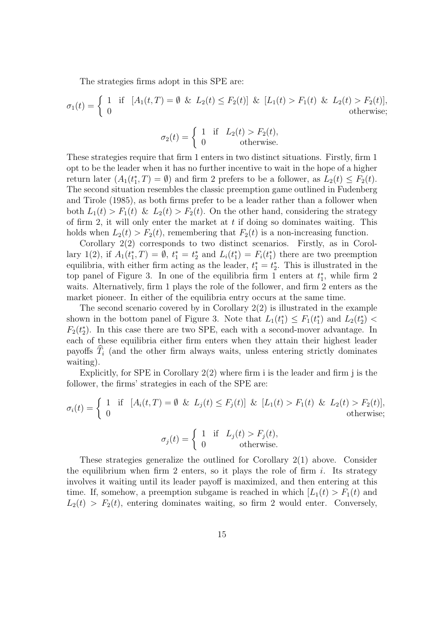The strategies firms adopt in this SPE are:

$$
\sigma_1(t) = \begin{cases} 1 & \text{if } [A_1(t,T) = \emptyset \& L_2(t) \le F_2(t)] \& [L_1(t) > F_1(t) \& L_2(t) > F_2(t)], \\ 0 & \text{otherwise}; \end{cases}
$$

$$
\sigma_2(t) = \begin{cases} 1 & \text{if } L_2(t) > F_2(t), \\ 0 & \text{otherwise.} \end{cases}
$$

These strategies require that firm 1 enters in two distinct situations. Firstly, firm 1 opt to be the leader when it has no further incentive to wait in the hope of a higher return later  $(A_1(t_1^*, T) = \emptyset)$  and firm 2 prefers to be a follower, as  $L_2(t) \leq F_2(t)$ . The second situation resembles the classic preemption game outlined in Fudenberg and Tirole (1985), as both firms prefer to be a leader rather than a follower when both  $L_1(t) > F_1(t) \& L_2(t) > F_2(t)$ . On the other hand, considering the strategy of firm 2, it will only enter the market at  $t$  if doing so dominates waiting. This holds when  $L_2(t) > F_2(t)$ , remembering that  $F_2(t)$  is a non-increasing function.

Corollary 2(2) corresponds to two distinct scenarios. Firstly, as in Corollary 1(2), if  $A_1(t_1^*,T) = \emptyset$ ,  $t_1^* = t_2^*$  and  $L_i(t_1^*) = F_i(t_1^*)$  there are two preemption equilibria, with either firm acting as the leader,  $t_1^* = t_2^*$ . This is illustrated in the top panel of Figure 3. In one of the equilibria firm 1 enters at  $t_1^*$ , while firm 2 waits. Alternatively, firm 1 plays the role of the follower, and firm 2 enters as the market pioneer. In either of the equilibria entry occurs at the same time.

The second scenario covered by in Corollary  $2(2)$  is illustrated in the example shown in the bottom panel of Figure 3. Note that  $L_1(t_1^*) \leq F_1(t_1^*)$  and  $L_2(t_2^*)$  $F_2(t_2^*)$ . In this case there are two SPE, each with a second-mover advantage. In each of these equilibria either firm enters when they attain their highest leader payoffs  $\widehat{T}_i$  (and the other firm always waits, unless entering strictly dominates waiting).

Explicitly, for SPE in Corollary 2(2) where firm i is the leader and firm j is the follower, the firms' strategies in each of the SPE are:

$$
\sigma_i(t) = \begin{cases} 1 & \text{if } [A_i(t, T) = \emptyset \& L_j(t) \le F_j(t)] \& [L_1(t) > F_1(t) \& L_2(t) > F_2(t)], \\ 0 & \text{otherwise}; \end{cases}
$$

$$
\sigma_j(t) = \begin{cases} 1 & \text{if } L_j(t) > F_j(t), \\ 0 & \text{otherwise.} \end{cases}
$$

These strategies generalize the outlined for Corollary 2(1) above. Consider the equilibrium when firm 2 enters, so it plays the role of firm i. Its strategy involves it waiting until its leader payoff is maximized, and then entering at this time. If, somehow, a preemption subgame is reached in which  $|L_1(t) > F_1(t)$  and  $L_2(t) > F_2(t)$ , entering dominates waiting, so firm 2 would enter. Conversely,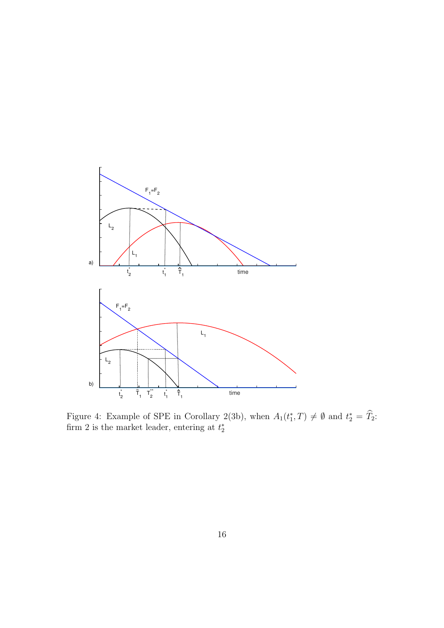

Figure 4: Example of SPE in Corollary 2(3b), when  $A_1(t_1^*, T) \neq \emptyset$  and  $t_2^* = \hat{T}_2$ . firm 2 is the market leader, entering at  $t_2^*$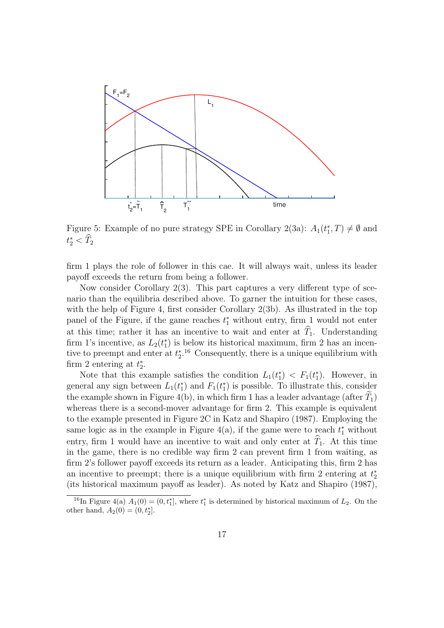

Figure 5: Example of no pure strategy SPE in Corollary 2(3a):  $A_1(t_1^*, T) \neq \emptyset$  and  $t_{2}^{*} < \widehat{T}_{2}$ 

firm 1 plays the role of follower in this cae. It will always wait, unless its leader payoff exceeds the return from being a follower.

Now consider Corollary 2(3). This part captures a very different type of scenario than the equilibria described above. To garner the intuition for these cases, with the help of Figure 4, first consider Corollary 2(3b). As illustrated in the top panel of the Figure, if the game reaches  $t_1^*$  without entry, firm 1 would not enter at this time; rather it has an incentive to wait and enter at  $\widehat{T}_1$ . Understanding firm 1's incentive, as  $L_2(t_1^*)$  is below its historical maximum, firm 2 has an incentive to preempt and enter at  $t_2^*$ .<sup>16</sup> Consequently, there is a unique equilibrium with firm 2 entering at  $t_2^*$ .

Note that this example satisfies the condition  $L_1(t_1^*) < F_1(t_1^*)$ . However, in general any sign between  $L_1(t_1^*)$  and  $F_1(t_1^*)$  is possible. To illustrate this, consider the example shown in Figure 4(b), in which firm 1 has a leader advantage (after  $T_1$ ) whereas there is a second-mover advantage for firm 2. This example is equivalent to the example presented in Figure 2C in Katz and Shapiro (1987). Employing the same logic as in the example in Figure 4(a), if the game were to reach  $t_1^*$  without entry, firm 1 would have an incentive to wait and only enter at  $\hat{T}_1$ . At this time in the game, there is no credible way firm 2 can prevent firm 1 from waiting, as firm 2's follower payoff exceeds its return as a leader. Anticipating this, firm 2 has an incentive to preempt; there is a unique equilibrium with firm 2 entering at  $t_2^*$ (its historical maximum payoff as leader). As noted by Katz and Shapiro (1987),

<sup>&</sup>lt;sup>16</sup>In Figure 4(a)  $A_1(0) = (0, t_1^*]$ , where  $t_1^*$  is determined by historical maximum of  $L_2$ . On the other hand,  $A_2(0) = (0, t_2^*]$ .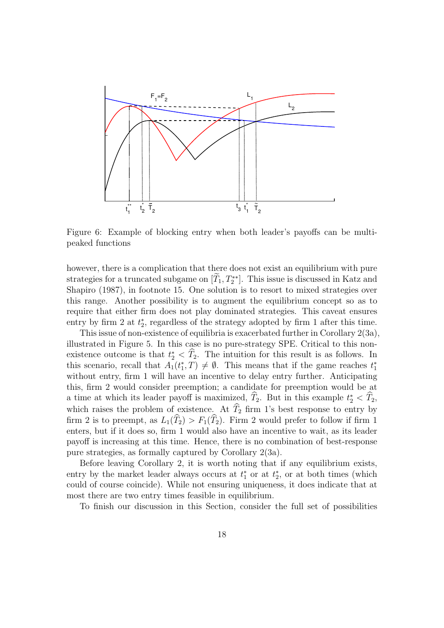

Figure 6: Example of blocking entry when both leader's payoffs can be multipeaked functions

however, there is a complication that there does not exist an equilibrium with pure strategies for a truncated subgame on  $[T_1, T_2^{**}]$ . This issue is discussed in Katz and Shapiro (1987), in footnote 15. One solution is to resort to mixed strategies over this range. Another possibility is to augment the equilibrium concept so as to require that either firm does not play dominated strategies. This caveat ensures entry by firm 2 at  $t_2^*$ , regardless of the strategy adopted by firm 1 after this time.

This issue of non-existence of equilibria is exacerbated further in Corollary 2(3a), illustrated in Figure 5. In this case is no pure-strategy SPE. Critical to this nonexistence outcome is that  $t_2^* < \hat{T}_2$ . The intuition for this result is as follows. In this scenario, recall that  $A_1(t_1^*,T) \neq \emptyset$ . This means that if the game reaches  $t_1^*$ without entry, firm 1 will have an incentive to delay entry further. Anticipating this, firm 2 would consider preemption; a candidate for preemption would be at a time at which its leader payoff is maximized,  $\hat{T}_2$ . But in this example  $t_2^* < \hat{T}_2$ , which raises the problem of existence. At  $\widehat{T}_2$  firm 1's best response to entry by firm 2 is to preempt, as  $L_1(\widehat{T}_2) > F_1(\widehat{T}_2)$ . Firm 2 would prefer to follow if firm 1 enters, but if it does so, firm 1 would also have an incentive to wait, as its leader payoff is increasing at this time. Hence, there is no combination of best-response pure strategies, as formally captured by Corollary 2(3a).

Before leaving Corollary 2, it is worth noting that if any equilibrium exists, entry by the market leader always occurs at  $t_1^*$  or at  $t_2^*$ , or at both times (which could of course coincide). While not ensuring uniqueness, it does indicate that at most there are two entry times feasible in equilibrium.

To finish our discussion in this Section, consider the full set of possibilities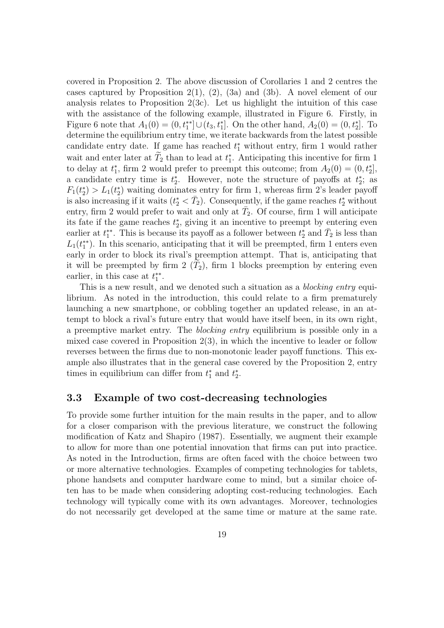covered in Proposition 2. The above discussion of Corollaries 1 and 2 centres the cases captured by Proposition 2(1), (2), (3a) and (3b). A novel element of our analysis relates to Proposition  $2(3c)$ . Let us highlight the intuition of this case with the assistance of the following example, illustrated in Figure 6. Firstly, in Figure 6 note that  $A_1(0) = (0, t_1^{**}] \cup (t_3, t_1^{*}]$ . On the other hand,  $A_2(0) = (0, t_2^{*}]$ . To determine the equilibrium entry time, we iterate backwards from the latest possible candidate entry date. If game has reached  $t_1^*$  without entry, firm 1 would rather wait and enter later at  $T_2$  than to lead at  $t_1^*$ . Anticipating this incentive for firm 1 to delay at  $t_1^*$ , firm 2 would prefer to preempt this outcome; from  $A_2(0) = (0, t_2^*]$ , a candidate entry time is  $t_2^*$ . However, note the structure of payoffs at  $t_2^*$ ; as  $F_1(t_2^*) > L_1(t_2^*)$  waiting dominates entry for firm 1, whereas firm 2's leader payoff is also increasing if it waits  $(t_2^* < \bar{T}_2)$ . Consequently, if the game reaches  $t_2^*$  without entry, firm 2 would prefer to wait and only at  $\bar{T}_2$ . Of course, firm 1 will anticipate its fate if the game reaches  $t_2^*$ , giving it an incentive to preempt by entering even earlier at  $t_1^{**}$ . This is because its payoff as a follower between  $t_2^*$  and  $\bar{T}_2$  is less than  $L_1(t_1^{**})$ . In this scenario, anticipating that it will be preempted, firm 1 enters even early in order to block its rival's preemption attempt. That is, anticipating that it will be preempted by firm  $2(T_2)$ , firm 1 blocks preemption by entering even earlier, in this case at  $t_1^{**}$ .

This is a new result, and we denoted such a situation as a *blocking entry* equilibrium. As noted in the introduction, this could relate to a firm prematurely launching a new smartphone, or cobbling together an updated release, in an attempt to block a rival's future entry that would have itself been, in its own right, a preemptive market entry. The blocking entry equilibrium is possible only in a mixed case covered in Proposition 2(3), in which the incentive to leader or follow reverses between the firms due to non-monotonic leader payoff functions. This example also illustrates that in the general case covered by the Proposition 2, entry times in equilibrium can differ from  $t_1^*$  and  $t_2^*$ .

### 3.3 Example of two cost-decreasing technologies

To provide some further intuition for the main results in the paper, and to allow for a closer comparison with the previous literature, we construct the following modification of Katz and Shapiro (1987). Essentially, we augment their example to allow for more than one potential innovation that firms can put into practice. As noted in the Introduction, firms are often faced with the choice between two or more alternative technologies. Examples of competing technologies for tablets, phone handsets and computer hardware come to mind, but a similar choice often has to be made when considering adopting cost-reducing technologies. Each technology will typically come with its own advantages. Moreover, technologies do not necessarily get developed at the same time or mature at the same rate.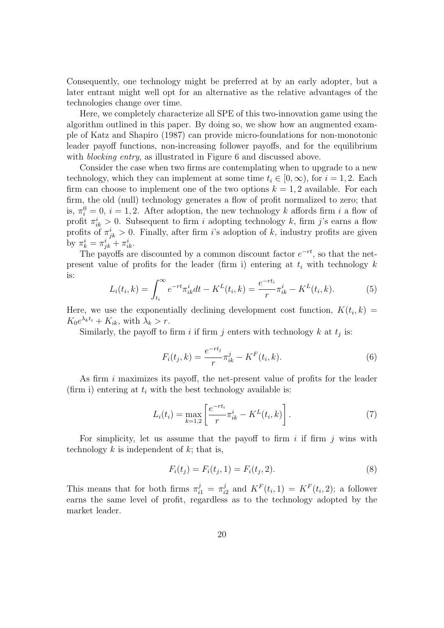Consequently, one technology might be preferred at by an early adopter, but a later entrant might well opt for an alternative as the relative advantages of the technologies change over time.

Here, we completely characterize all SPE of this two-innovation game using the algorithm outlined in this paper. By doing so, we show how an augmented example of Katz and Shapiro (1987) can provide micro-foundations for non-monotonic leader payoff functions, non-increasing follower payoffs, and for the equilibrium with *blocking entry*, as illustrated in Figure 6 and discussed above.

Consider the case when two firms are contemplating when to upgrade to a new technology, which they can implement at some time  $t_i \in [0,\infty)$ , for  $i = 1,2$ . Each firm can choose to implement one of the two options  $k = 1, 2$  available. For each firm, the old (null) technology generates a flow of profit normalized to zero; that is,  $\pi_i^0 = 0$ ,  $i = 1, 2$ . After adoption, the new technology k affords firm i a flow of profit  $\pi_{ik}^i > 0$ . Subsequent to firm i adopting technology k, firm j's earns a flow profits of  $\pi_{jk}^i > 0$ . Finally, after firm i's adoption of k, industry profits are given by  $\pi^i_k = \pi^i_{jk} + \pi^i_{ik}$ .

The payoffs are discounted by a common discount factor  $e^{-rt}$ , so that the netpresent value of profits for the leader (firm i) entering at  $t_i$  with technology  $k$ is:

$$
L_i(t_i, k) = \int_{t_i}^{\infty} e^{-rt} \pi_{ik}^i dt - K^L(t_i, k) = \frac{e^{-rt_i}}{r} \pi_{ik}^i - K^L(t_i, k).
$$
 (5)

Here, we use the exponentially declining development cost function,  $K(t_i, k) =$  $K_0e^{\lambda_k t_i} + K_{ik}$ , with  $\lambda_k > r$ .

Similarly, the payoff to firm i if firm j enters with technology  $k$  at  $t_j$  is:

$$
F_i(t_j, k) = \frac{e^{-rt_j}}{r} \pi_{ik}^j - K^F(t_i, k).
$$
 (6)

As firm i maximizes its payoff, the net-present value of profits for the leader (firm i) entering at  $t_i$  with the best technology available is:

$$
L_i(t_i) = \max_{k=1,2} \left[ \frac{e^{-rt_i}}{r} \pi_{ik}^i - K^L(t_i, k) \right].
$$
 (7)

For simplicity, let us assume that the payoff to firm i if firm i wins with technology  $k$  is independent of  $k$ ; that is,

$$
F_i(t_j) = F_i(t_j, 1) = F_i(t_j, 2).
$$
\n(8)

This means that for both firms  $\pi_{i1}^j = \pi_i^j$  $i_2^j$  and  $K^F(t_i,1) = K^F(t_i,2)$ ; a follower earns the same level of profit, regardless as to the technology adopted by the market leader.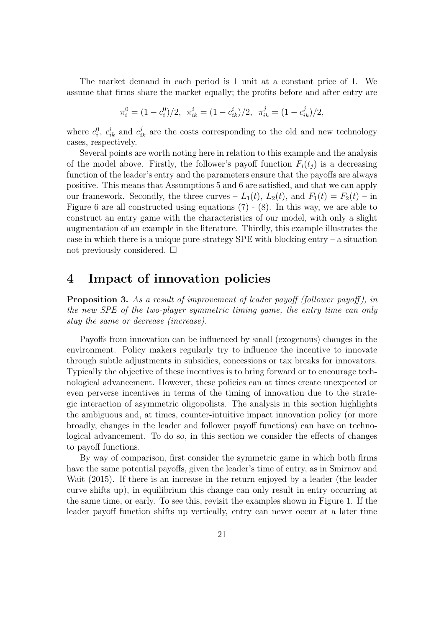The market demand in each period is 1 unit at a constant price of 1. We assume that firms share the market equally; the profits before and after entry are

$$
\pi_i^0 = (1 - c_i^0)/2, \quad \pi_{ik}^i = (1 - c_{ik}^i)/2, \quad \pi_{ik}^j = (1 - c_{ik}^j)/2,
$$

where  $c_i^0$ ,  $c_{ik}^i$  and  $c_{ik}^j$  are the costs corresponding to the old and new technology cases, respectively.

Several points are worth noting here in relation to this example and the analysis of the model above. Firstly, the follower's payoff function  $F_i(t_i)$  is a decreasing function of the leader's entry and the parameters ensure that the payoffs are always positive. This means that Assumptions 5 and 6 are satisfied, and that we can apply our framework. Secondly, the three curves  $-L_1(t)$ ,  $L_2(t)$ , and  $F_1(t) = F_2(t) - in$ Figure 6 are all constructed using equations (7) - (8). In this way, we are able to construct an entry game with the characteristics of our model, with only a slight augmentation of an example in the literature. Thirdly, this example illustrates the case in which there is a unique pure-strategy SPE with blocking entry – a situation not previously considered.  $\square$ 

### 4 Impact of innovation policies

**Proposition 3.** As a result of improvement of leader payoff (follower payoff), in the new SPE of the two-player symmetric timing game, the entry time can only stay the same or decrease (increase).

Payoffs from innovation can be influenced by small (exogenous) changes in the environment. Policy makers regularly try to influence the incentive to innovate through subtle adjustments in subsidies, concessions or tax breaks for innovators. Typically the objective of these incentives is to bring forward or to encourage technological advancement. However, these policies can at times create unexpected or even perverse incentives in terms of the timing of innovation due to the strategic interaction of asymmetric oligopolists. The analysis in this section highlights the ambiguous and, at times, counter-intuitive impact innovation policy (or more broadly, changes in the leader and follower payoff functions) can have on technological advancement. To do so, in this section we consider the effects of changes to payoff functions.

By way of comparison, first consider the symmetric game in which both firms have the same potential payoffs, given the leader's time of entry, as in Smirnov and Wait (2015). If there is an increase in the return enjoyed by a leader (the leader curve shifts up), in equilibrium this change can only result in entry occurring at the same time, or early. To see this, revisit the examples shown in Figure 1. If the leader payoff function shifts up vertically, entry can never occur at a later time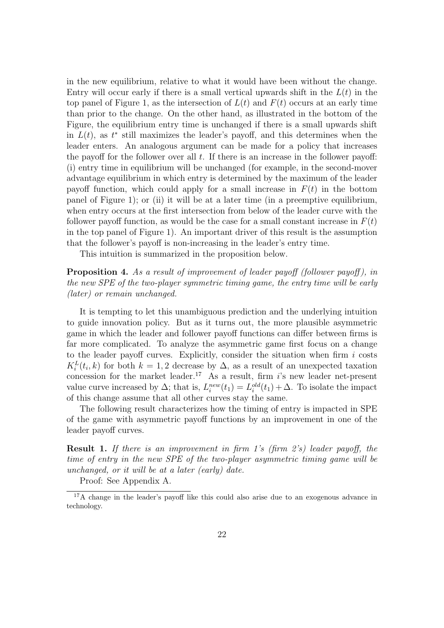in the new equilibrium, relative to what it would have been without the change. Entry will occur early if there is a small vertical upwards shift in the  $L(t)$  in the top panel of Figure 1, as the intersection of  $L(t)$  and  $F(t)$  occurs at an early time than prior to the change. On the other hand, as illustrated in the bottom of the Figure, the equilibrium entry time is unchanged if there is a small upwards shift in  $L(t)$ , as  $t^*$  still maximizes the leader's payoff, and this determines when the leader enters. An analogous argument can be made for a policy that increases the payoff for the follower over all  $t$ . If there is an increase in the follower payoff: (i) entry time in equilibrium will be unchanged (for example, in the second-mover advantage equilibrium in which entry is determined by the maximum of the leader payoff function, which could apply for a small increase in  $F(t)$  in the bottom panel of Figure 1); or (ii) it will be at a later time (in a preemptive equilibrium, when entry occurs at the first intersection from below of the leader curve with the follower payoff function, as would be the case for a small constant increase in  $F(t)$ in the top panel of Figure 1). An important driver of this result is the assumption that the follower's payoff is non-increasing in the leader's entry time.

This intuition is summarized in the proposition below.

**Proposition 4.** As a result of improvement of leader payoff (follower payoff), in the new SPE of the two-player symmetric timing game, the entry time will be early (later) or remain unchanged.

It is tempting to let this unambiguous prediction and the underlying intuition to guide innovation policy. But as it turns out, the more plausible asymmetric game in which the leader and follower payoff functions can differ between firms is far more complicated. To analyze the asymmetric game first focus on a change to the leader payoff curves. Explicitly, consider the situation when firm  $i$  costs  $K_i^L(t_i,k)$  for both  $k=1,2$  decrease by  $\Delta$ , as a result of an unexpected taxation concession for the market leader.<sup>17</sup> As a result, firm  $i$ 's new leader net-present value curve increased by  $\Delta$ ; that is,  $L_i^{new}(t_1) = L_i^{old}(t_1) + \Delta$ . To isolate the impact of this change assume that all other curves stay the same.

The following result characterizes how the timing of entry is impacted in SPE of the game with asymmetric payoff functions by an improvement in one of the leader payoff curves.

Result 1. If there is an improvement in firm 1's (firm 2's) leader payoff, the time of entry in the new SPE of the two-player asymmetric timing game will be unchanged, or it will be at a later (early) date.

Proof: See Appendix A.

<sup>17</sup>A change in the leader's payoff like this could also arise due to an exogenous advance in technology.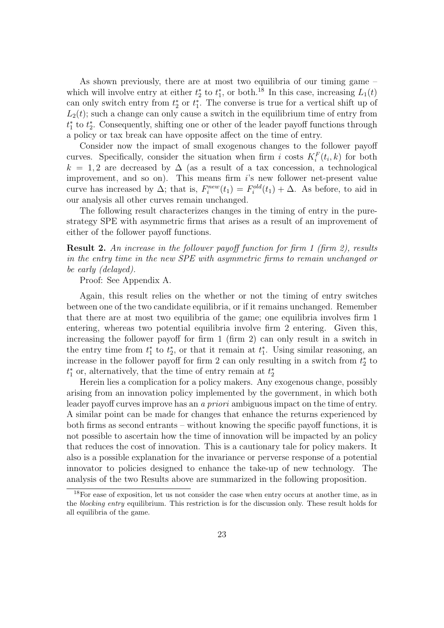As shown previously, there are at most two equilibria of our timing game – which will involve entry at either  $t_2^*$  to  $t_1^*$ , or both.<sup>18</sup> In this case, increasing  $L_1(t)$ can only switch entry from  $t_2^*$  or  $t_1^*$ . The converse is true for a vertical shift up of  $L_2(t)$ ; such a change can only cause a switch in the equilibrium time of entry from  $t_1^*$  to  $t_2^*$ . Consequently, shifting one or other of the leader payoff functions through a policy or tax break can have opposite affect on the time of entry.

Consider now the impact of small exogenous changes to the follower payoff curves. Specifically, consider the situation when firm i costs  $K_i^F(t_i, k)$  for both  $k = 1, 2$  are decreased by  $\Delta$  (as a result of a tax concession, a technological improvement, and so on). This means firm i's new follower net-present value curve has increased by  $\Delta$ ; that is,  $F_i^{new}(t_1) = F_i^{old}(t_1) + \Delta$ . As before, to aid in our analysis all other curves remain unchanged.

The following result characterizes changes in the timing of entry in the purestrategy SPE with asymmetric firms that arises as a result of an improvement of either of the follower payoff functions.

Result 2. An increase in the follower payoff function for firm 1 (firm 2), results in the entry time in the new SPE with asymmetric firms to remain unchanged or be early (delayed).

Proof: See Appendix A.

Again, this result relies on the whether or not the timing of entry switches between one of the two candidate equilibria, or if it remains unchanged. Remember that there are at most two equilibria of the game; one equilibria involves firm 1 entering, whereas two potential equilibria involve firm 2 entering. Given this, increasing the follower payoff for firm 1 (firm 2) can only result in a switch in the entry time from  $t_1^*$  to  $t_2^*$ , or that it remain at  $t_1^*$ . Using similar reasoning, an increase in the follower payoff for firm 2 can only resulting in a switch from  $t_2^*$  to  $t_1^*$  or, alternatively, that the time of entry remain at  $t_2^*$ 

Herein lies a complication for a policy makers. Any exogenous change, possibly arising from an innovation policy implemented by the government, in which both leader payoff curves improve has an a priori ambiguous impact on the time of entry. A similar point can be made for changes that enhance the returns experienced by both firms as second entrants – without knowing the specific payoff functions, it is not possible to ascertain how the time of innovation will be impacted by an policy that reduces the cost of innovation. This is a cautionary tale for policy makers. It also is a possible explanation for the invariance or perverse response of a potential innovator to policies designed to enhance the take-up of new technology. The analysis of the two Results above are summarized in the following proposition.

<sup>&</sup>lt;sup>18</sup>For ease of exposition, let us not consider the case when entry occurs at another time, as in the blocking entry equilibrium. This restriction is for the discussion only. These result holds for all equilibria of the game.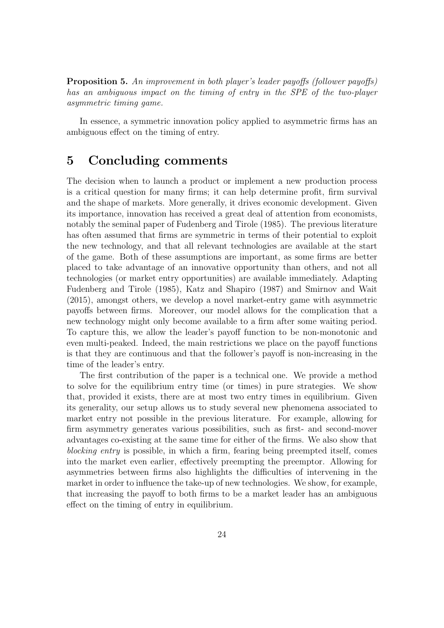Proposition 5. An improvement in both player's leader payoffs (follower payoffs) has an ambiguous impact on the timing of entry in the SPE of the two-player asymmetric timing game.

In essence, a symmetric innovation policy applied to asymmetric firms has an ambiguous effect on the timing of entry.

## 5 Concluding comments

The decision when to launch a product or implement a new production process is a critical question for many firms; it can help determine profit, firm survival and the shape of markets. More generally, it drives economic development. Given its importance, innovation has received a great deal of attention from economists, notably the seminal paper of Fudenberg and Tirole (1985). The previous literature has often assumed that firms are symmetric in terms of their potential to exploit the new technology, and that all relevant technologies are available at the start of the game. Both of these assumptions are important, as some firms are better placed to take advantage of an innovative opportunity than others, and not all technologies (or market entry opportunities) are available immediately. Adapting Fudenberg and Tirole (1985), Katz and Shapiro (1987) and Smirnov and Wait (2015), amongst others, we develop a novel market-entry game with asymmetric payoffs between firms. Moreover, our model allows for the complication that a new technology might only become available to a firm after some waiting period. To capture this, we allow the leader's payoff function to be non-monotonic and even multi-peaked. Indeed, the main restrictions we place on the payoff functions is that they are continuous and that the follower's payoff is non-increasing in the time of the leader's entry.

The first contribution of the paper is a technical one. We provide a method to solve for the equilibrium entry time (or times) in pure strategies. We show that, provided it exists, there are at most two entry times in equilibrium. Given its generality, our setup allows us to study several new phenomena associated to market entry not possible in the previous literature. For example, allowing for firm asymmetry generates various possibilities, such as first- and second-mover advantages co-existing at the same time for either of the firms. We also show that blocking entry is possible, in which a firm, fearing being preempted itself, comes into the market even earlier, effectively preempting the preemptor. Allowing for asymmetries between firms also highlights the difficulties of intervening in the market in order to influence the take-up of new technologies. We show, for example, that increasing the payoff to both firms to be a market leader has an ambiguous effect on the timing of entry in equilibrium.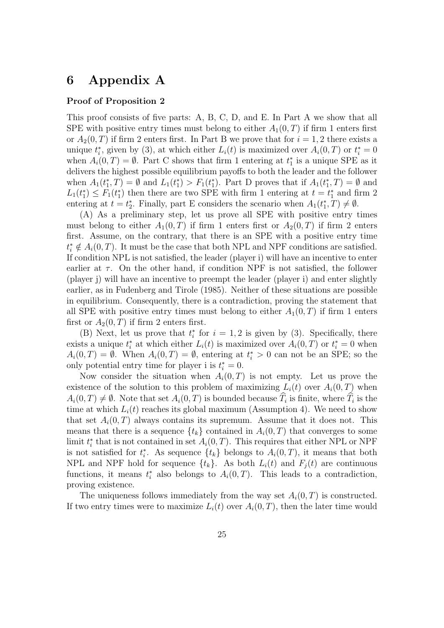# 6 Appendix A

#### Proof of Proposition 2

This proof consists of five parts: A, B, C, D, and E. In Part A we show that all SPE with positive entry times must belong to either  $A_1(0,T)$  if firm 1 enters first or  $A_2(0,T)$  if firm 2 enters first. In Part B we prove that for  $i=1,2$  there exists a unique  $t_i^*$ , given by (3), at which either  $L_i(t)$  is maximized over  $A_i(0,T)$  or  $t_i^* = 0$ when  $A_i(0,T) = \emptyset$ . Part C shows that firm 1 entering at  $t_1^*$  is a unique SPE as it delivers the highest possible equilibrium payoffs to both the leader and the follower when  $A_1(t_1^*,T) = \emptyset$  and  $L_1(t_1^*) > F_1(t_1^*)$ . Part D proves that if  $A_1(t_1^*,T) = \emptyset$  and  $L_1(t_1^*) \leq F_1(t_1^*)$  then there are two SPE with firm 1 entering at  $t = t_1^*$  and firm 2 entering at  $t = t_2^*$ . Finally, part E considers the scenario when  $A_1(t_1^*, T) \neq \emptyset$ .

(A) As a preliminary step, let us prove all SPE with positive entry times must belong to either  $A_1(0,T)$  if firm 1 enters first or  $A_2(0,T)$  if firm 2 enters first. Assume, on the contrary, that there is an SPE with a positive entry time  $t_i^* \notin A_i(0,T)$ . It must be the case that both NPL and NPF conditions are satisfied. If condition NPL is not satisfied, the leader (player i) will have an incentive to enter earlier at  $\tau$ . On the other hand, if condition NPF is not satisfied, the follower (player j) will have an incentive to preempt the leader (player i) and enter slightly earlier, as in Fudenberg and Tirole (1985). Neither of these situations are possible in equilibrium. Consequently, there is a contradiction, proving the statement that all SPE with positive entry times must belong to either  $A_1(0,T)$  if firm 1 enters first or  $A_2(0,T)$  if firm 2 enters first.

(B) Next, let us prove that  $t_i^*$  for  $i = 1, 2$  is given by (3). Specifically, there exists a unique  $t_i^*$  at which either  $L_i(t)$  is maximized over  $A_i(0,T)$  or  $t_i^* = 0$  when  $A_i(0,T) = \emptyset$ . When  $A_i(0,T) = \emptyset$ , entering at  $t_i^* > 0$  can not be an SPE; so the only potential entry time for player i is  $t_i^* = 0$ .

Now consider the situation when  $A_i(0,T)$  is not empty. Let us prove the existence of the solution to this problem of maximizing  $L_i(t)$  over  $A_i(0,T)$  when  $A_i(0,T) \neq \emptyset$ . Note that set  $A_i(0,T)$  is bounded because  $T_i$  is finite, where  $T_i$  is the time at which  $L_i(t)$  reaches its global maximum (Assumption 4). We need to show that set  $A_i(0,T)$  always contains its supremum. Assume that it does not. This means that there is a sequence  $\{t_k\}$  contained in  $A_i(0,T)$  that converges to some limit  $t_i^*$  that is not contained in set  $A_i(0,T)$ . This requires that either NPL or NPF is not satisfied for  $t_i^*$ . As sequence  $\{t_k\}$  belongs to  $A_i(0,T)$ , it means that both NPL and NPF hold for sequence  $\{t_k\}$ . As both  $L_i(t)$  and  $F_j(t)$  are continuous functions, it means  $t_i^*$  also belongs to  $A_i(0,T)$ . This leads to a contradiction, proving existence.

The uniqueness follows immediately from the way set  $A_i(0,T)$  is constructed. If two entry times were to maximize  $L_i(t)$  over  $A_i(0,T)$ , then the later time would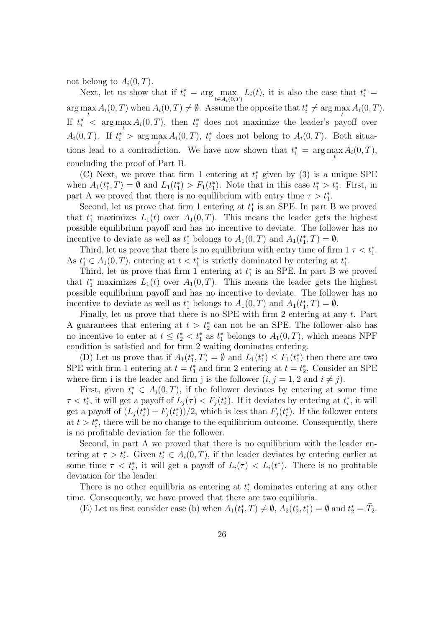not belong to  $A_i(0,T)$ .

Next, let us show that if  $t_i^* = \arg \max_{t \in A_i(0,T)} L_i(t)$ , it is also the case that  $t_i^* =$  $\arg \max_{i} A_i(0, T)$  when  $A_i(0, T) \neq \emptyset$ . Assume the opposite that  $t_i^* \neq \arg \max_{i} A_i(0, T)$ .  $t$  to the contract of the contract of the contract of the contract of the contract of the contract of the contract of the contract of the contract of the contract of the contract of the contract of the contract of the co If  $t_i^*$  <  $\arg \max_i A_i(0,T)$ , then  $t_i^*$  does not maximize the leader's payoff over t  $A_i(0,T)$ . If  $t_i^*$  >  $\arg \max_t A_i(0,T)$ ,  $t_i^*$  does not belong to  $A_i(0,T)$ . Both situations lead to a contradiction. We have now shown that  $t_i^* = \arg \max_t A_i(0, T)$ , concluding the proof of Part B.

(C) Next, we prove that firm 1 entering at  $t_1^*$  given by (3) is a unique SPE when  $A_1(t_1^*,T) = \emptyset$  and  $L_1(t_1^*) > F_1(t_1^*)$ . Note that in this case  $t_1^* > t_2^*$ . First, in part A we proved that there is no equilibrium with entry time  $\tau > t_1^*$ .

Second, let us prove that firm 1 entering at  $t_1^*$  is an SPE. In part B we proved that  $t_1^*$  maximizes  $L_1(t)$  over  $A_1(0,T)$ . This means the leader gets the highest possible equilibrium payoff and has no incentive to deviate. The follower has no incentive to deviate as well as  $t_1^*$  belongs to  $A_1(0,T)$  and  $A_1(t_1^*,T) = \emptyset$ .

Third, let us prove that there is no equilibrium with entry time of firm  $1 \tau < t_1^*$ . As  $t_1^* \in A_1(0,T)$ , entering at  $t < t_1^*$  is strictly dominated by entering at  $t_1^*$ .

Third, let us prove that firm 1 entering at  $t_1^*$  is an SPE. In part B we proved that  $t_1^*$  maximizes  $L_1(t)$  over  $A_1(0,T)$ . This means the leader gets the highest possible equilibrium payoff and has no incentive to deviate. The follower has no incentive to deviate as well as  $t_1^*$  belongs to  $A_1(0,T)$  and  $A_1(t_1^*,T) = \emptyset$ .

Finally, let us prove that there is no SPE with firm 2 entering at any  $t$ . Part A guarantees that entering at  $t > t_2^*$  can not be an SPE. The follower also has no incentive to enter at  $t \leq t_2^* < t_1^*$  as  $t_1^*$  belongs to  $A_1(0,T)$ , which means NPF condition is satisfied and for firm 2 waiting dominates entering.

(D) Let us prove that if  $A_1(t_1^*, T) = \emptyset$  and  $L_1(t_1^*) \leq F_1(t_1^*)$  then there are two SPE with firm 1 entering at  $t = t_1^*$  and firm 2 entering at  $t = t_2^*$ . Consider an SPE where firm i is the leader and firm j is the follower  $(i, j = 1, 2 \text{ and } i \neq j)$ .

First, given  $t_i^* \in A_i(0,T)$ , if the follower deviates by entering at some time  $\tau < t_i^*$ , it will get a payoff of  $L_j(\tau) < F_j(t_i^*)$ . If it deviates by entering at  $t_i^*$ , it will get a payoff of  $(L_j(t_i^*) + F_j(t_i^*))/2$ , which is less than  $F_j(t_i^*)$ . If the follower enters at  $t > t_i^*$ , there will be no change to the equilibrium outcome. Consequently, there is no profitable deviation for the follower.

Second, in part A we proved that there is no equilibrium with the leader entering at  $\tau > t_i^*$ . Given  $t_i^* \in A_i(0,T)$ , if the leader deviates by entering earlier at some time  $\tau < t_i^*$ , it will get a payoff of  $L_i(\tau) < L_i(t^*)$ . There is no profitable deviation for the leader.

There is no other equilibria as entering at  $t_i^*$  dominates entering at any other time. Consequently, we have proved that there are two equilibria.

(E) Let us first consider case (b) when  $A_1(t_1^*,T) \neq \emptyset$ ,  $A_2(t_2^*,t_1^*) = \emptyset$  and  $t_2^* = \overline{T}_2$ .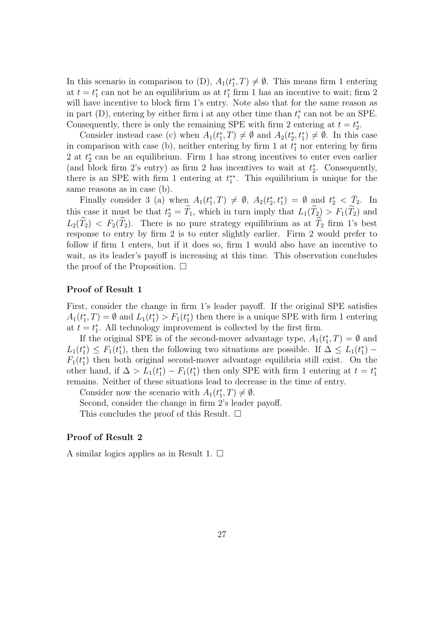In this scenario in comparison to (D),  $A_1(t_1^*,T) \neq \emptyset$ . This means firm 1 entering at  $t = t_1^*$  can not be an equilibrium as at  $t_1^*$  firm 1 has an incentive to wait; firm 2 will have incentive to block firm 1's entry. Note also that for the same reason as in part (D), entering by either firm i at any other time than  $t_i^*$  can not be an SPE. Consequently, there is only the remaining SPE with firm 2 entering at  $t = t_2^*$ .

Consider instead case (c) when  $A_1(t_1^*, T) \neq \emptyset$  and  $A_2(t_2^*, t_1^*) \neq \emptyset$ . In this case in comparison with case (b), neither entering by firm 1 at  $t_1^*$  nor entering by firm 2 at  $t_2^*$  can be an equilibrium. Firm 1 has strong incentives to enter even earlier (and block firm 2's entry) as firm 2 has incentives to wait at  $t_2^*$ . Consequently, there is an SPE with firm 1 entering at  $t_1^{**}$ . This equilibrium is unique for the same reasons as in case (b).

Finally consider 3 (a) when  $A_1(t_1^*,T) \neq \emptyset$ ,  $A_2(t_2^*,t_1^*) = \emptyset$  and  $t_2^* < \overline{T}_2$ . In this case it must be that  $t_2^* = T_1$ , which in turn imply that  $L_1(\widehat{T}_2) > F_1(\widehat{T}_2)$  and  $L_2(\widehat{T}_2) < F_2(\widehat{T}_2)$ . There is no pure strategy equilibrium as at  $\widehat{T}_2$  firm 1's best response to entry by firm 2 is to enter slightly earlier. Firm 2 would prefer to follow if firm 1 enters, but if it does so, firm 1 would also have an incentive to wait, as its leader's payoff is increasing at this time. This observation concludes the proof of the Proposition.  $\Box$ 

#### Proof of Result 1

First, consider the change in firm 1's leader payoff. If the original SPE satisfies  $A_1(t_1^*,T) = \emptyset$  and  $L_1(t_1^*) > F_1(t_1^*)$  then there is a unique SPE with firm 1 entering at  $t = t_1^*$ . All technology improvement is collected by the first firm.

If the original SPE is of the second-mover advantage type,  $A_1(t_1^*,T) = \emptyset$  and  $L_1(t_1^*) \leq F_1(t_1^*)$ , then the following two situations are possible. If  $\Delta \leq L_1(t_1^*)$  –  $F_1(t_1^*)$  then both original second-mover advantage equilibria still exist. On the other hand, if  $\Delta > L_1(t_1^*) - F_1(t_1^*)$  then only SPE with firm 1 entering at  $t = t_1^*$ remains. Neither of these situations lead to decrease in the time of entry.

Consider now the scenario with  $A_1(t_1^*,T) \neq \emptyset$ .

Second, consider the change in firm 2's leader payoff.

This concludes the proof of this Result.  $\square$ 

#### Proof of Result 2

A similar logics applies as in Result 1.  $\square$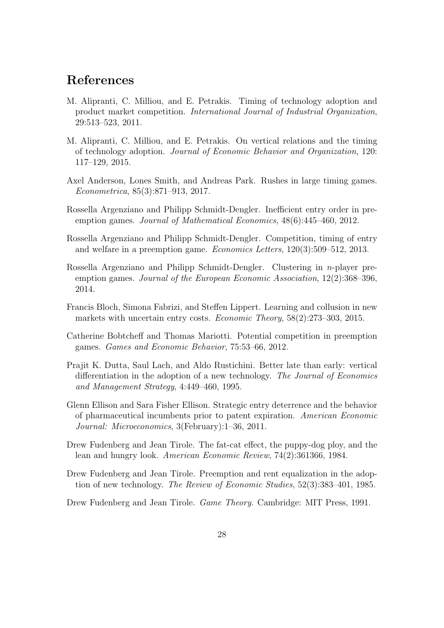# References

- M. Alipranti, C. Milliou, and E. Petrakis. Timing of technology adoption and product market competition. International Journal of Industrial Organization, 29:513–523, 2011.
- M. Alipranti, C. Milliou, and E. Petrakis. On vertical relations and the timing of technology adoption. Journal of Economic Behavior and Organization, 120: 117–129, 2015.
- Axel Anderson, Lones Smith, and Andreas Park. Rushes in large timing games. Econometrica, 85(3):871–913, 2017.
- Rossella Argenziano and Philipp Schmidt-Dengler. Inefficient entry order in preemption games. Journal of Mathematical Economics, 48(6):445–460, 2012.
- Rossella Argenziano and Philipp Schmidt-Dengler. Competition, timing of entry and welfare in a preemption game. Economics Letters, 120(3):509–512, 2013.
- Rossella Argenziano and Philipp Schmidt-Dengler. Clustering in n-player preemption games. Journal of the European Economic Association, 12(2):368–396, 2014.
- Francis Bloch, Simona Fabrizi, and Steffen Lippert. Learning and collusion in new markets with uncertain entry costs. Economic Theory, 58(2):273–303, 2015.
- Catherine Bobtcheff and Thomas Mariotti. Potential competition in preemption games. Games and Economic Behavior, 75:53–66, 2012.
- Prajit K. Dutta, Saul Lach, and Aldo Rustichini. Better late than early: vertical differentiation in the adoption of a new technology. The Journal of Economics and Management Strategy, 4:449–460, 1995.
- Glenn Ellison and Sara Fisher Ellison. Strategic entry deterrence and the behavior of pharmaceutical incumbents prior to patent expiration. American Economic Journal: Microeconomics, 3(February):1–36, 2011.
- Drew Fudenberg and Jean Tirole. The fat-cat effect, the puppy-dog ploy, and the lean and hungry look. American Economic Review, 74(2):361366, 1984.
- Drew Fudenberg and Jean Tirole. Preemption and rent equalization in the adoption of new technology. The Review of Economic Studies, 52(3):383–401, 1985.
- Drew Fudenberg and Jean Tirole. Game Theory. Cambridge: MIT Press, 1991.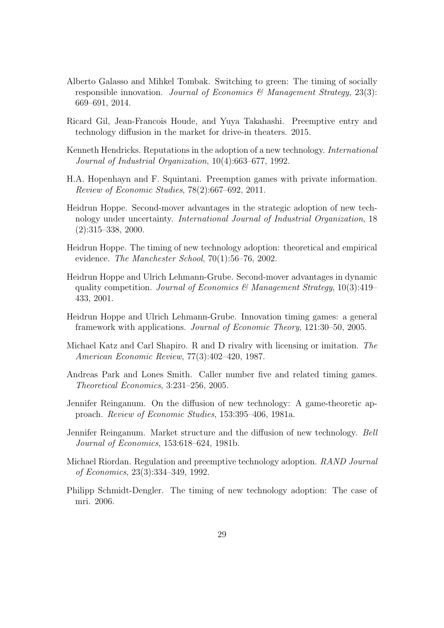- Alberto Galasso and Mihkel Tombak. Switching to green: The timing of socially responsible innovation. Journal of Economics & Management Strategy, 23(3): 669–691, 2014.
- Ricard Gil, Jean-Francois Houde, and Yuya Takahashi. Preemptive entry and technology diffusion in the market for drive-in theaters. 2015.
- Kenneth Hendricks. Reputations in the adoption of a new technology. International Journal of Industrial Organization, 10(4):663–677, 1992.
- H.A. Hopenhayn and F. Squintani. Preemption games with private information. Review of Economic Studies, 78(2):667–692, 2011.
- Heidrun Hoppe. Second-mover advantages in the strategic adoption of new technology under uncertainty. International Journal of Industrial Organization, 18 (2):315–338, 2000.
- Heidrun Hoppe. The timing of new technology adoption: theoretical and empirical evidence. The Manchester School, 70(1):56–76, 2002.
- Heidrun Hoppe and Ulrich Lehmann-Grube. Second-mover advantages in dynamic quality competition. Journal of Economics & Management Strategy,  $10(3):419-$ 433, 2001.
- Heidrun Hoppe and Ulrich Lehmann-Grube. Innovation timing games: a general framework with applications. Journal of Economic Theory, 121:30–50, 2005.
- Michael Katz and Carl Shapiro. R and D rivalry with licensing or imitation. The American Economic Review, 77(3):402–420, 1987.
- Andreas Park and Lones Smith. Caller number five and related timing games. Theoretical Economics, 3:231–256, 2005.
- Jennifer Reinganum. On the diffusion of new technology: A game-theoretic approach. Review of Economic Studies, 153:395–406, 1981a.
- Jennifer Reinganum. Market structure and the diffusion of new technology. Bell Journal of Economics, 153:618–624, 1981b.
- Michael Riordan. Regulation and preemptive technology adoption. RAND Journal of Economics, 23(3):334–349, 1992.
- Philipp Schmidt-Dengler. The timing of new technology adoption: The case of mri. 2006.